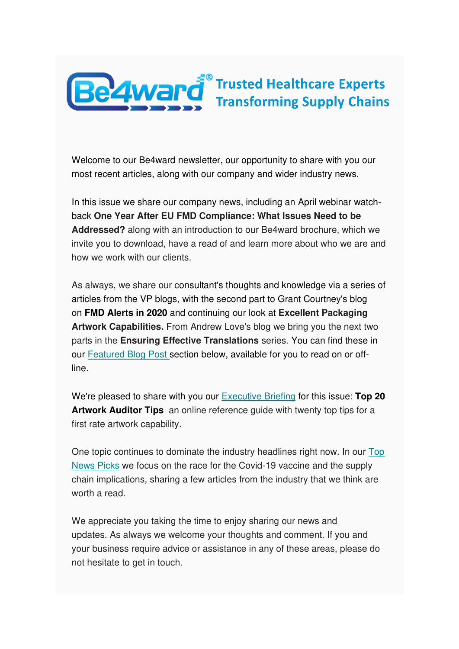

Welcome to our Be4ward newsletter, our opportunity to share with you our most recent articles, along with our company and wider industry news.

In this issue we share our company news, including an April webinar watchback **One Year After EU FMD Compliance: What Issues Need to be Addressed?** along with an introduction to our Be4ward brochure, which we invite you to download, have a read of and learn more about who we are and how we work with our clients.

As always, we share our consultant's thoughts and knowledge via a series of articles from the VP blogs, with the second part to Grant Courtney's blog on **FMD Alerts in 2020** and continuing our look at **Excellent Packaging Artwork Capabilities.** From Andrew Love's blog we bring you the next two parts in the **Ensuring Effective Translations** series. You can find these in our [Featured Blog Post s](https://us5.admin.mailchimp.com/campaigns/preview-content-html?id=1383664#Blogs%20by%20Stephen)ection below, available for you to read on or offline.

We're pleased to share with you our [Executive Briefing](https://us5.admin.mailchimp.com/campaigns/preview-content-html?id=1383664#Executive%20Briefing%202) for this issue: **Top 20 Artwork Auditor Tips** an online reference guide with twenty top tips for a first rate artwork capability.

One topic continues to dominate the industry headlines right now. In our [Top](https://us5.admin.mailchimp.com/campaigns/preview-content-html?id=1383664#TOPNEWSPICKS)  [News Picks](https://us5.admin.mailchimp.com/campaigns/preview-content-html?id=1383664#TOPNEWSPICKS) we focus on the race for the Covid-19 vaccine and the supply chain implications, sharing a few articles from the industry that we think are worth a read.

We appreciate you taking the time to enjoy sharing our news and updates. As always we welcome your thoughts and comment. If you and your business require advice or assistance in any of these areas, please do not hesitate to get in touch.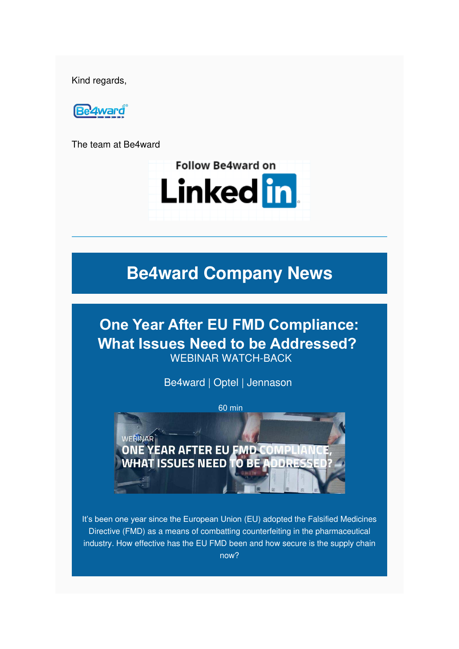Kind regards,



The team at Be4ward



# **Be4ward Company News**

**One Year After EU FMD Compliance: What Issues Need to be Addressed?** WEBINAR WATCH-BACK

Be4ward | Optel | Jennason



It's been one year since the European Union (EU) adopted the Falsified Medicines Directive (FMD) as a means of combatting counterfeiting in the pharmaceutical industry. How effective has the EU FMD been and how secure is the supply chain now?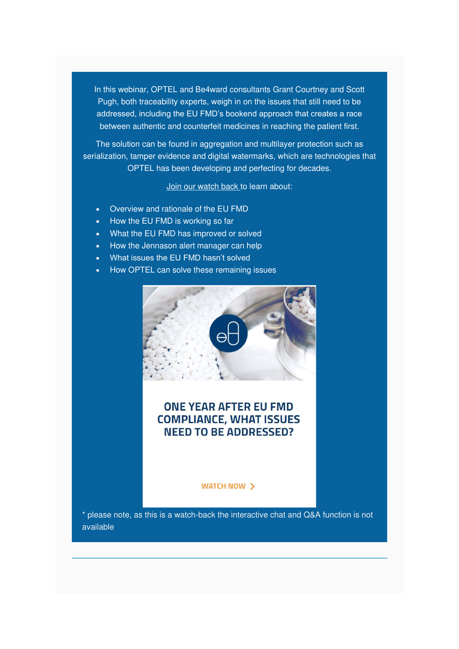In this webinar, OPTEL and Be4ward consultants Grant Courtney and Scott Pugh, both traceability experts, weigh in on the issues that still need to be addressed, including the EU FMD's bookend approach that creates a race between authentic and counterfeit medicines in reaching the patient first.

The solution can be found in aggregation and multilayer protection such as serialization, tamper evidence and digital watermarks, which are technologies that OPTEL has been developing and perfecting for decades.

[Join our watch back t](https://be4ward-my.sharepoint.com/:v:/p/stuart_hinks/Ebps7kedybhNqeORB9qk3R8BzV5Js1AaLhKFBfR1bR2EaA?e=Uwv1rf)o learn about:

- Overview and rationale of the EU FMD
- How the EU FMD is working so far
- What the EU FMD has improved or solved
- How the Jennason alert manager can help
- What issues the EU FMD hasn't solved
- How OPTEL can solve these remaining issues



#### **ONE YEAR AFTER EU FMD COMPLIANCE, WHAT ISSUES NEED TO BE ADDRESSED?**

**WATCH NOW >** 

\* please note, as this is a watch-back the interactive chat and Q&A function is not available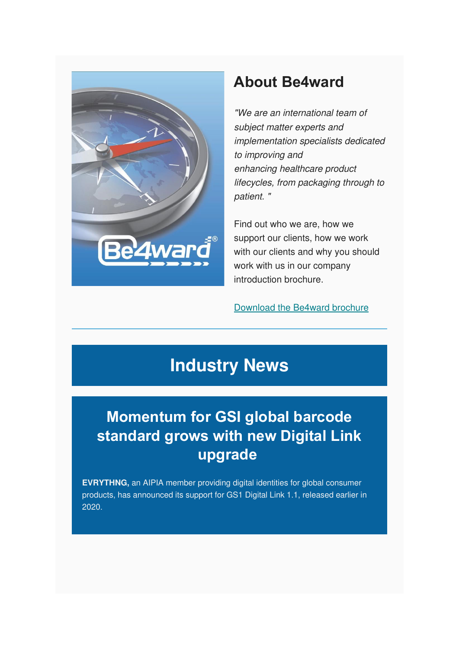

### **About Be4ward**

"We are an international team of subject matter experts and implementation specialists dedicated to improving and enhancing healthcare product lifecycles, from packaging through to patient. "

Find out who we are, how we support our clients, how we work with our clients and why you should work with us in our company introduction brochure.

[Download the Be4ward brochure](https://mcusercontent.com/e26c7f2af713739ac392fa0ba/files/af69d2c9-4ef0-492b-9b6e-76d696eaa4f1/Be4ward_Company_Introduction_Brochure.pdf)

# **Industry News**

# **Momentum for GSI global barcode standard grows with new Digital Link upgrade**

**EVRYTHNG,** an AIPIA member providing digital identities for global consumer products, has announced its support for GS1 Digital Link 1.1, released earlier in 2020.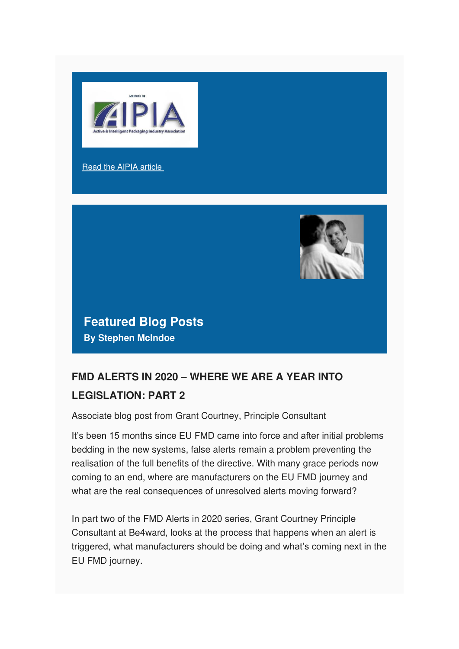

#### [Read the AIPIA article](https://www.aipia.info/news-Momentum-for-GSI-global-barcode-standard-grows-with-new-Digital-Link-upgrade-1186.php)



**Featured Blog Posts By Stephen McIndoe**

### **FMD ALERTS IN 2020 – WHERE WE ARE A YEAR INTO LEGISLATION: PART 2**

Associate blog post from Grant Courtney, Principle Consultant

It's been 15 months since EU FMD came into force and after initial problems bedding in the new systems, false alerts remain a problem preventing the realisation of the full benefits of the directive. With many grace periods now coming to an end, where are manufacturers on the EU FMD journey and what are the real consequences of unresolved alerts moving forward?

In part two of the FMD Alerts in 2020 series, Grant Courtney Principle Consultant at Be4ward, looks at the process that happens when an alert is triggered, what manufacturers should be doing and what's coming next in the EU FMD journey.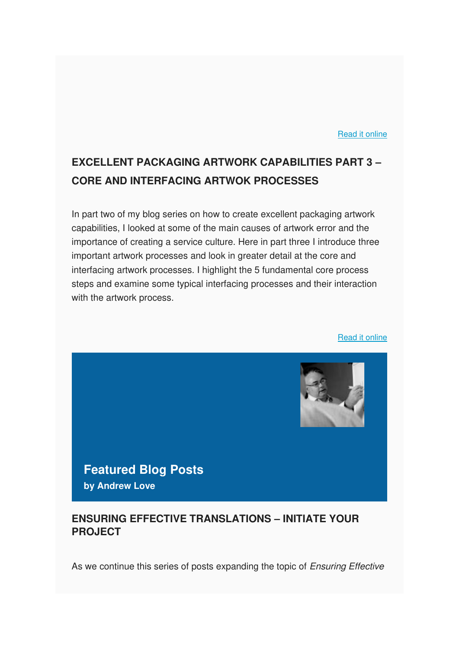#### [Read it online](https://www.be4ward.com/blogstephenmcindoe/2020/04/30/fmd-alerts-in-2020-where-we-are-a-year-into-legislation_2/)

### **EXCELLENT PACKAGING ARTWORK CAPABILITIES PART 3 – CORE AND INTERFACING ARTWOK PROCESSES**

In part two of my blog series on how to create excellent packaging artwork capabilities, I looked at some of the main causes of artwork error and the importance of creating a service culture. Here in part three I introduce three important artwork processes and look in greater detail at the core and interfacing artwork processes. I highlight the 5 fundamental core process steps and examine some typical interfacing processes and their interaction with the artwork process.

[Read it online](https://www.be4ward.com/blogstephenmcindoe/2020/05/31/excellent-packaging-artwork-capabilities-part-3-core-and-interfacing-artwork-processes/)



**Featured Blog Posts by Andrew Love**

#### **ENSURING EFFECTIVE TRANSLATIONS – INITIATE YOUR PROJECT**

As we continue this series of posts expanding the topic of Ensuring Effective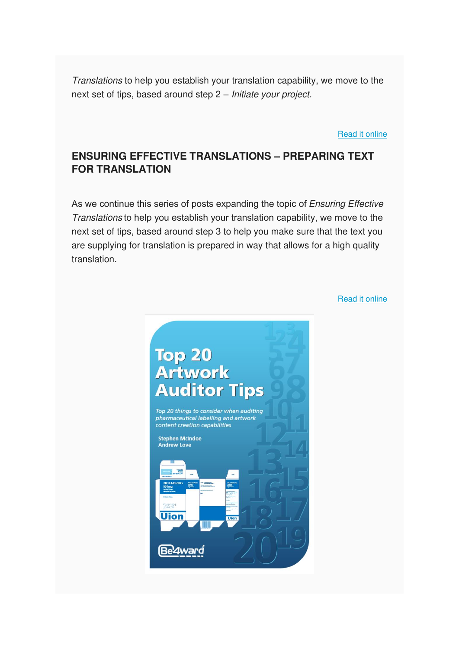Translations to help you establish your translation capability, we move to the next set of tips, based around step 2 – Initiate your project.

[Read it online](https://www.be4ward.com/blogandrewrlove/2020/04/30/ensuring-effective-translations-initiate-your-project-2/)

#### **ENSURING EFFECTIVE TRANSLATIONS – PREPARING TEXT FOR TRANSLATION**

As we continue this series of posts expanding the topic of *Ensuring Effective* Translations to help you establish your translation capability, we move to the next set of tips, based around step 3 to help you make sure that the text you are supplying for translation is prepared in way that allows for a high quality translation.

[Read it online](https://www.be4ward.com/blogandrewrlove/2020/05/31/ensuring-effective-translations-preparing-text-for-translation/)

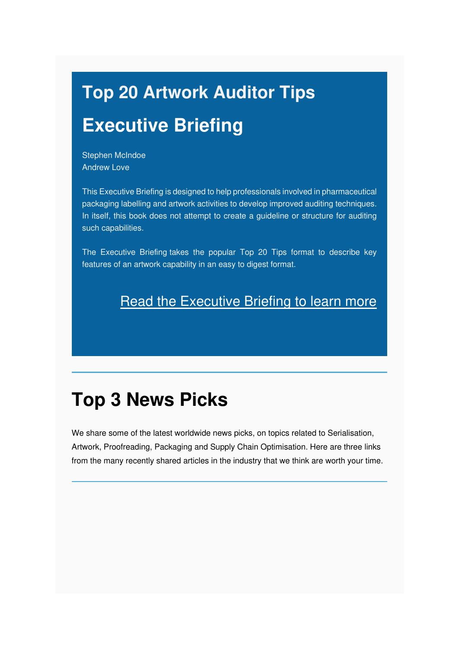# **Top 20 Artwork Auditor Tips Executive Briefing**

Stephen McIndoe Andrew Love

This Executive Briefing is designed to help professionals involved in pharmaceutical packaging labelling and artwork activities to develop improved auditing techniques. In itself, this book does not attempt to create a guideline or structure for auditing such capabilities.

The Executive Briefing takes the popular Top 20 Tips format to describe key features of an artwork capability in an easy to digest format.

### **[Read the Executive Briefing to learn more](https://mcusercontent.com/e26c7f2af713739ac392fa0ba/files/441f6213-674d-49cb-8bd2-c5aea6ed7005/Top_20_Artwork_Auditor_Tips_Be4ward.pdf)**

# **Top 3 News Picks**

We share some of the latest worldwide news picks, on topics related to Serialisation, Artwork, Proofreading, Packaging and Supply Chain Optimisation. Here are three links from the many recently shared articles in the industry that we think are worth your time.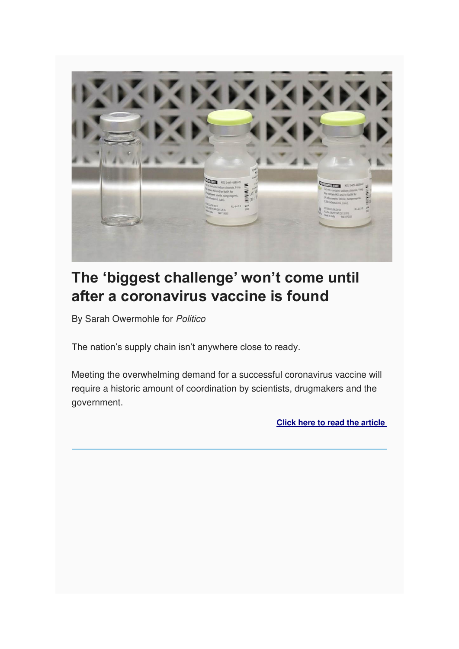

# **The 'biggest challenge' won't come until after a coronavirus vaccine is found**

By Sarah Owermohle for Politico

The nation's supply chain isn't anywhere close to ready.

Meeting the overwhelming demand for a successful coronavirus vaccine will require a historic amount of coordination by scientists, drugmakers and the government.

**[Click here to read the article](https://www.politico.com/news/2020/05/11/coronavirus-vaccine-supply-shortages-245450)**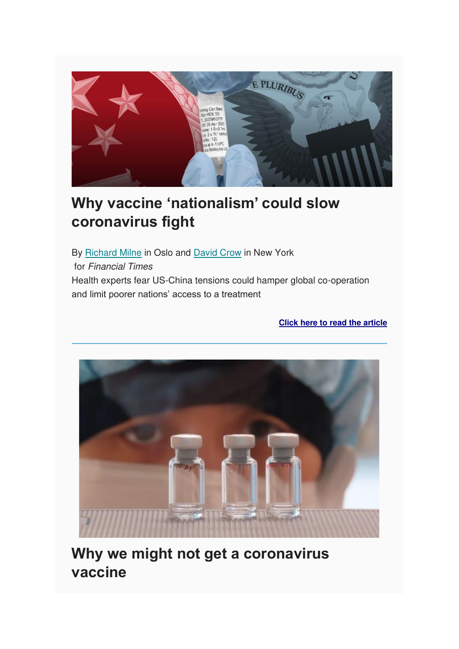

# **Why vaccine 'nationalism' could slow coronavirus fight**

By [Richard Milne](https://www.ft.com/stream/beda7f8b-f25d-4816-9756-f9f648abaf93) in Oslo and [David Crow](https://www.ft.com/david-crow) in New York for Financial Times Health experts fear US-China tensions could hamper global co-operation and limit poorer nations' access to a treatment

**[Click here to read the article](https://www.ft.com/content/6d542894-6483-446c-87b0-96c65e89bb2c)**



**Why we might not get a coronavirus vaccine**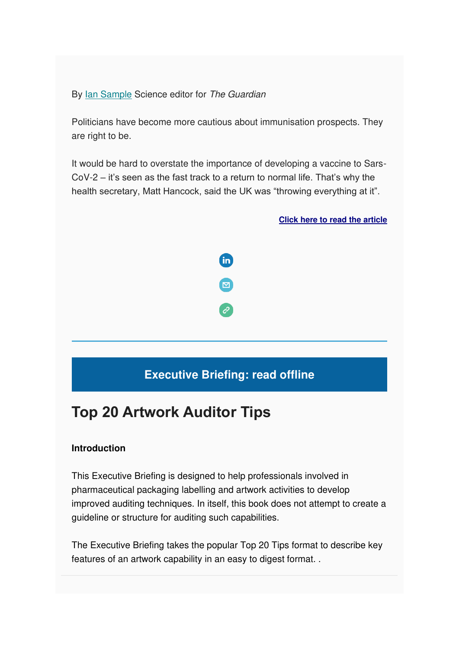By lan Sample Science editor for The Guardian

Politicians have become more cautious about immunisation prospects. They are right to be.

It would be hard to overstate the importance of developing a vaccine to Sars-CoV-2 – it's seen as the fast track to a return to normal life. That's why the health secretary, Matt Hancock, said the UK was "throwing everything at it".

**[Click here to read the article](https://www.theguardian.com/world/2020/may/22/why-we-might-not-get-a-coronavirus-vaccine?CMP=Share_AndroidApp_Email)**



### **Executive Briefing: read offline**

### **Top 20 Artwork Auditor Tips**

#### **Introduction**

This Executive Briefing is designed to help professionals involved in pharmaceutical packaging labelling and artwork activities to develop improved auditing techniques. In itself, this book does not attempt to create a guideline or structure for auditing such capabilities.

The Executive Briefing takes the popular Top 20 Tips format to describe key features of an artwork capability in an easy to digest format. .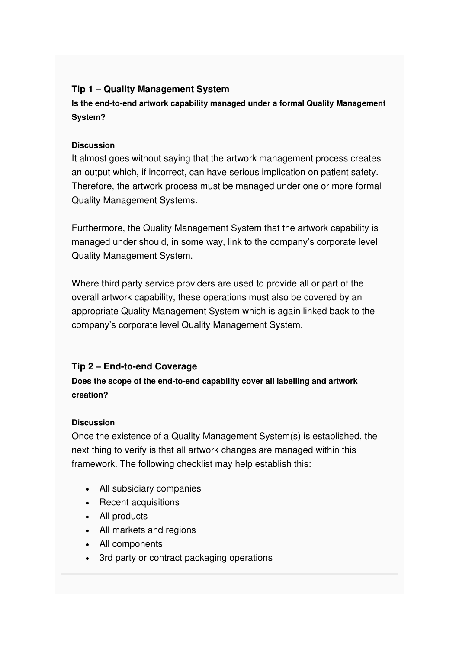#### **Tip 1 – Quality Management System**

**Is the end-to-end artwork capability managed under a formal Quality Management System?**

#### **Discussion**

It almost goes without saying that the artwork management process creates an output which, if incorrect, can have serious implication on patient safety. Therefore, the artwork process must be managed under one or more formal Quality Management Systems.

Furthermore, the Quality Management System that the artwork capability is managed under should, in some way, link to the company's corporate level Quality Management System.

Where third party service providers are used to provide all or part of the overall artwork capability, these operations must also be covered by an appropriate Quality Management System which is again linked back to the company's corporate level Quality Management System.

#### **Tip 2 – End-to-end Coverage**

#### **Does the scope of the end-to-end capability cover all labelling and artwork creation?**

#### **Discussion**

Once the existence of a Quality Management System(s) is established, the next thing to verify is that all artwork changes are managed within this framework. The following checklist may help establish this:

- All subsidiary companies
- Recent acquisitions
- All products
- All markets and regions
- All components
- 3rd party or contract packaging operations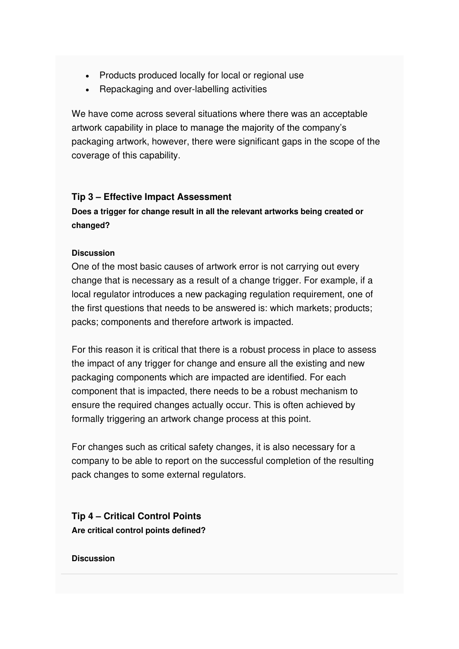- Products produced locally for local or regional use
- Repackaging and over-labelling activities

We have come across several situations where there was an acceptable artwork capability in place to manage the majority of the company's packaging artwork, however, there were significant gaps in the scope of the coverage of this capability.

#### **Tip 3 – Effective Impact Assessment**

**Does a trigger for change result in all the relevant artworks being created or changed?** 

#### **Discussion**

One of the most basic causes of artwork error is not carrying out every change that is necessary as a result of a change trigger. For example, if a local regulator introduces a new packaging regulation requirement, one of the first questions that needs to be answered is: which markets; products; packs; components and therefore artwork is impacted.

For this reason it is critical that there is a robust process in place to assess the impact of any trigger for change and ensure all the existing and new packaging components which are impacted are identified. For each component that is impacted, there needs to be a robust mechanism to ensure the required changes actually occur. This is often achieved by formally triggering an artwork change process at this point.

For changes such as critical safety changes, it is also necessary for a company to be able to report on the successful completion of the resulting pack changes to some external regulators.

**Tip 4 – Critical Control Points Are critical control points defined?** 

#### **Discussion**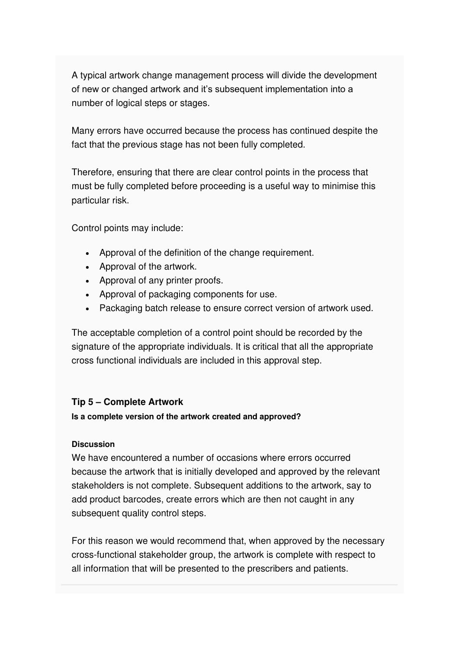A typical artwork change management process will divide the development of new or changed artwork and it's subsequent implementation into a number of logical steps or stages.

Many errors have occurred because the process has continued despite the fact that the previous stage has not been fully completed.

Therefore, ensuring that there are clear control points in the process that must be fully completed before proceeding is a useful way to minimise this particular risk.

Control points may include:

- Approval of the definition of the change requirement.
- Approval of the artwork.
- Approval of any printer proofs.
- Approval of packaging components for use.
- Packaging batch release to ensure correct version of artwork used.

The acceptable completion of a control point should be recorded by the signature of the appropriate individuals. It is critical that all the appropriate cross functional individuals are included in this approval step.

#### **Tip 5 – Complete Artwork**

#### **Is a complete version of the artwork created and approved?**

#### **Discussion**

We have encountered a number of occasions where errors occurred because the artwork that is initially developed and approved by the relevant stakeholders is not complete. Subsequent additions to the artwork, say to add product barcodes, create errors which are then not caught in any subsequent quality control steps.

For this reason we would recommend that, when approved by the necessary cross-functional stakeholder group, the artwork is complete with respect to all information that will be presented to the prescribers and patients.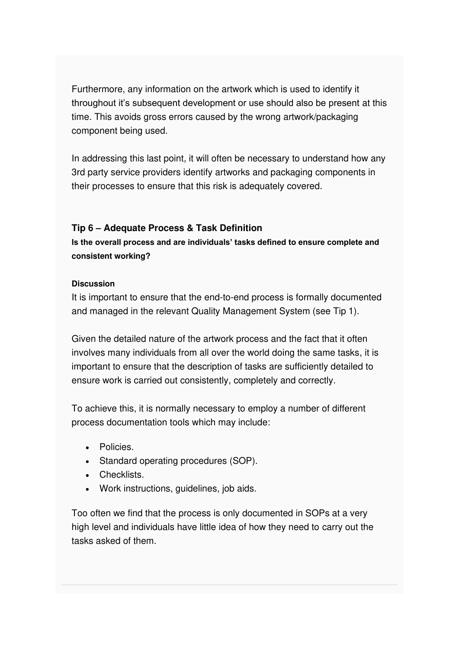Furthermore, any information on the artwork which is used to identify it throughout it's subsequent development or use should also be present at this time. This avoids gross errors caused by the wrong artwork/packaging component being used.

In addressing this last point, it will often be necessary to understand how any 3rd party service providers identify artworks and packaging components in their processes to ensure that this risk is adequately covered.

#### **Tip 6 – Adequate Process & Task Definition**

**Is the overall process and are individuals' tasks defined to ensure complete and consistent working?** 

#### **Discussion**

It is important to ensure that the end-to-end process is formally documented and managed in the relevant Quality Management System (see Tip 1).

Given the detailed nature of the artwork process and the fact that it often involves many individuals from all over the world doing the same tasks, it is important to ensure that the description of tasks are sufficiently detailed to ensure work is carried out consistently, completely and correctly.

To achieve this, it is normally necessary to employ a number of different process documentation tools which may include:

- Policies.
- Standard operating procedures (SOP).
- Checklists.
- Work instructions, guidelines, job aids.

Too often we find that the process is only documented in SOPs at a very high level and individuals have little idea of how they need to carry out the tasks asked of them.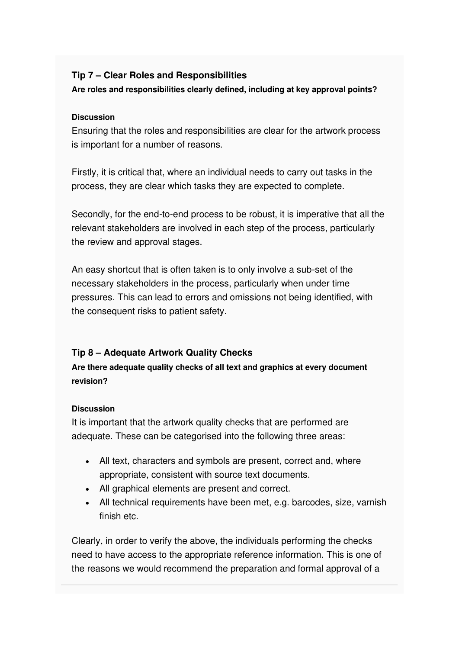#### **Tip 7 – Clear Roles and Responsibilities**

**Are roles and responsibilities clearly defined, including at key approval points?** 

#### **Discussion**

Ensuring that the roles and responsibilities are clear for the artwork process is important for a number of reasons.

Firstly, it is critical that, where an individual needs to carry out tasks in the process, they are clear which tasks they are expected to complete.

Secondly, for the end-to-end process to be robust, it is imperative that all the relevant stakeholders are involved in each step of the process, particularly the review and approval stages.

An easy shortcut that is often taken is to only involve a sub-set of the necessary stakeholders in the process, particularly when under time pressures. This can lead to errors and omissions not being identified, with the consequent risks to patient safety.

#### **Tip 8 – Adequate Artwork Quality Checks**

**Are there adequate quality checks of all text and graphics at every document revision?** 

#### **Discussion**

It is important that the artwork quality checks that are performed are adequate. These can be categorised into the following three areas:

- All text, characters and symbols are present, correct and, where appropriate, consistent with source text documents.
- All graphical elements are present and correct.
- All technical requirements have been met, e.g. barcodes, size, varnish finish etc.

Clearly, in order to verify the above, the individuals performing the checks need to have access to the appropriate reference information. This is one of the reasons we would recommend the preparation and formal approval of a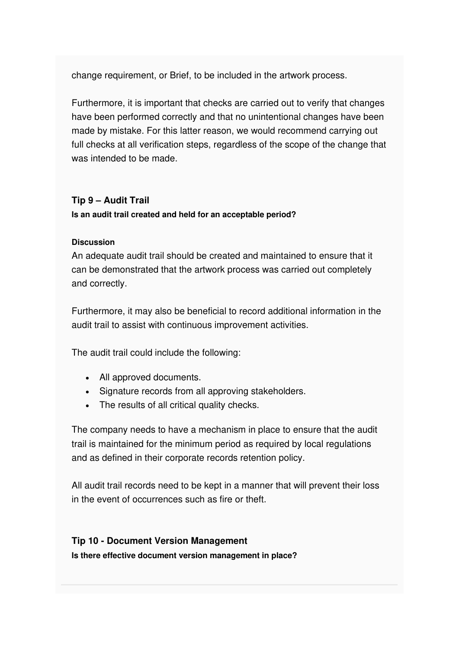change requirement, or Brief, to be included in the artwork process.

Furthermore, it is important that checks are carried out to verify that changes have been performed correctly and that no unintentional changes have been made by mistake. For this latter reason, we would recommend carrying out full checks at all verification steps, regardless of the scope of the change that was intended to be made.

#### **Tip 9 – Audit Trail**

**Is an audit trail created and held for an acceptable period?** 

#### **Discussion**

An adequate audit trail should be created and maintained to ensure that it can be demonstrated that the artwork process was carried out completely and correctly.

Furthermore, it may also be beneficial to record additional information in the audit trail to assist with continuous improvement activities.

The audit trail could include the following:

- All approved documents.
- Signature records from all approving stakeholders.
- The results of all critical quality checks.

The company needs to have a mechanism in place to ensure that the audit trail is maintained for the minimum period as required by local regulations and as defined in their corporate records retention policy.

All audit trail records need to be kept in a manner that will prevent their loss in the event of occurrences such as fire or theft.

### **Tip 10 - Document Version Management**

**Is there effective document version management in place?**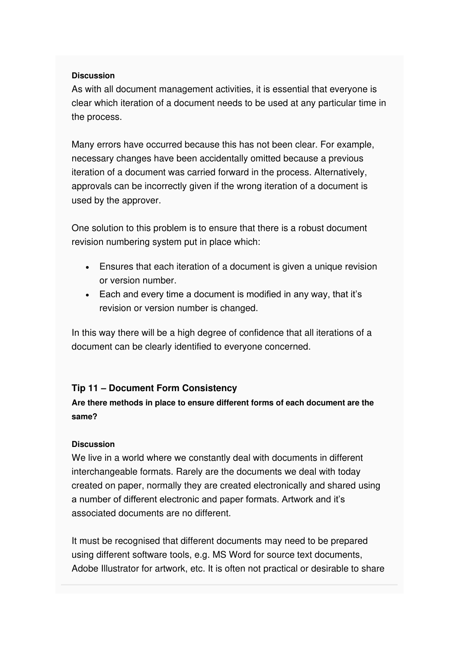#### **Discussion**

As with all document management activities, it is essential that everyone is clear which iteration of a document needs to be used at any particular time in the process.

Many errors have occurred because this has not been clear. For example, necessary changes have been accidentally omitted because a previous iteration of a document was carried forward in the process. Alternatively, approvals can be incorrectly given if the wrong iteration of a document is used by the approver.

One solution to this problem is to ensure that there is a robust document revision numbering system put in place which:

- Ensures that each iteration of a document is given a unique revision or version number.
- Each and every time a document is modified in any way, that it's revision or version number is changed.

In this way there will be a high degree of confidence that all iterations of a document can be clearly identified to everyone concerned.

#### **Tip 11 – Document Form Consistency**

#### **Are there methods in place to ensure different forms of each document are the same?**

#### **Discussion**

We live in a world where we constantly deal with documents in different interchangeable formats. Rarely are the documents we deal with today created on paper, normally they are created electronically and shared using a number of different electronic and paper formats. Artwork and it's associated documents are no different.

It must be recognised that different documents may need to be prepared using different software tools, e.g. MS Word for source text documents, Adobe Illustrator for artwork, etc. It is often not practical or desirable to share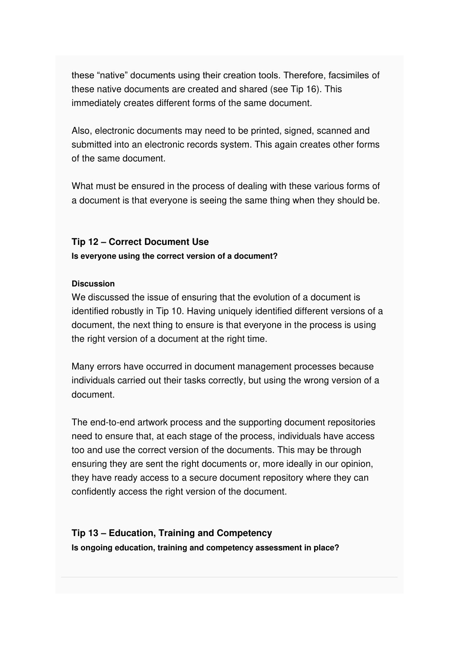these "native" documents using their creation tools. Therefore, facsimiles of these native documents are created and shared (see Tip 16). This immediately creates different forms of the same document.

Also, electronic documents may need to be printed, signed, scanned and submitted into an electronic records system. This again creates other forms of the same document.

What must be ensured in the process of dealing with these various forms of a document is that everyone is seeing the same thing when they should be.

#### **Tip 12 – Correct Document Use**

**Is everyone using the correct version of a document?** 

#### **Discussion**

We discussed the issue of ensuring that the evolution of a document is identified robustly in Tip 10. Having uniquely identified different versions of a document, the next thing to ensure is that everyone in the process is using the right version of a document at the right time.

Many errors have occurred in document management processes because individuals carried out their tasks correctly, but using the wrong version of a document.

The end-to-end artwork process and the supporting document repositories need to ensure that, at each stage of the process, individuals have access too and use the correct version of the documents. This may be through ensuring they are sent the right documents or, more ideally in our opinion, they have ready access to a secure document repository where they can confidently access the right version of the document.

#### **Tip 13 – Education, Training and Competency**

**Is ongoing education, training and competency assessment in place?**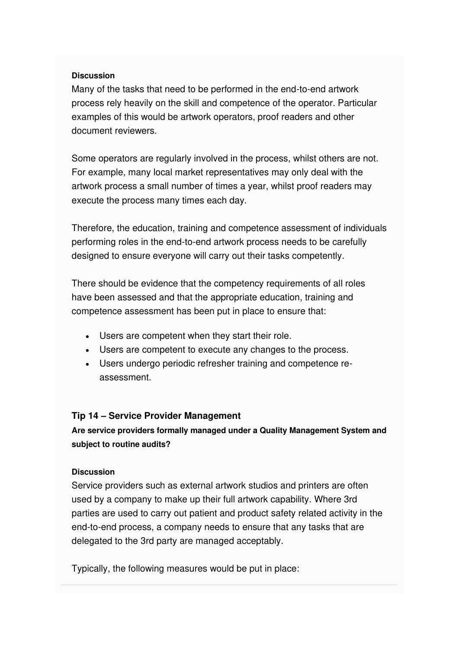#### **Discussion**

Many of the tasks that need to be performed in the end-to-end artwork process rely heavily on the skill and competence of the operator. Particular examples of this would be artwork operators, proof readers and other document reviewers.

Some operators are regularly involved in the process, whilst others are not. For example, many local market representatives may only deal with the artwork process a small number of times a year, whilst proof readers may execute the process many times each day.

Therefore, the education, training and competence assessment of individuals performing roles in the end-to-end artwork process needs to be carefully designed to ensure everyone will carry out their tasks competently.

There should be evidence that the competency requirements of all roles have been assessed and that the appropriate education, training and competence assessment has been put in place to ensure that:

- Users are competent when they start their role.
- Users are competent to execute any changes to the process.
- Users undergo periodic refresher training and competence reassessment.

#### **Tip 14 – Service Provider Management**

**Are service providers formally managed under a Quality Management System and subject to routine audits?** 

#### **Discussion**

Service providers such as external artwork studios and printers are often used by a company to make up their full artwork capability. Where 3rd parties are used to carry out patient and product safety related activity in the end-to-end process, a company needs to ensure that any tasks that are delegated to the 3rd party are managed acceptably.

Typically, the following measures would be put in place: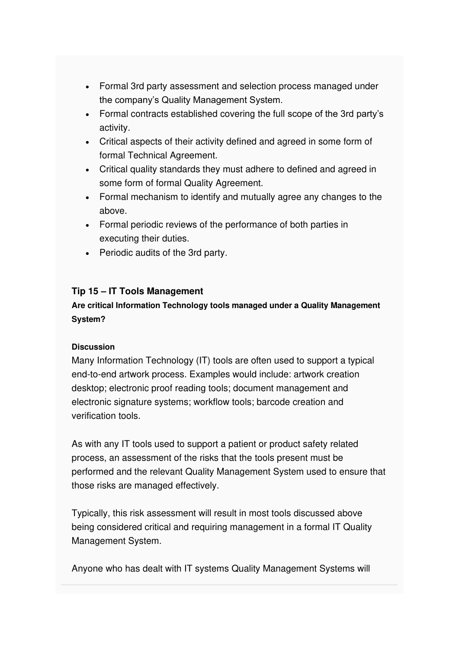- Formal 3rd party assessment and selection process managed under the company's Quality Management System.
- Formal contracts established covering the full scope of the 3rd party's activity.
- Critical aspects of their activity defined and agreed in some form of formal Technical Agreement.
- Critical quality standards they must adhere to defined and agreed in some form of formal Quality Agreement.
- Formal mechanism to identify and mutually agree any changes to the above.
- Formal periodic reviews of the performance of both parties in executing their duties.
- Periodic audits of the 3rd party.

#### **Tip 15 – IT Tools Management**

**Are critical Information Technology tools managed under a Quality Management System?** 

#### **Discussion**

Many Information Technology (IT) tools are often used to support a typical end-to-end artwork process. Examples would include: artwork creation desktop; electronic proof reading tools; document management and electronic signature systems; workflow tools; barcode creation and verification tools.

As with any IT tools used to support a patient or product safety related process, an assessment of the risks that the tools present must be performed and the relevant Quality Management System used to ensure that those risks are managed effectively.

Typically, this risk assessment will result in most tools discussed above being considered critical and requiring management in a formal IT Quality Management System.

Anyone who has dealt with IT systems Quality Management Systems will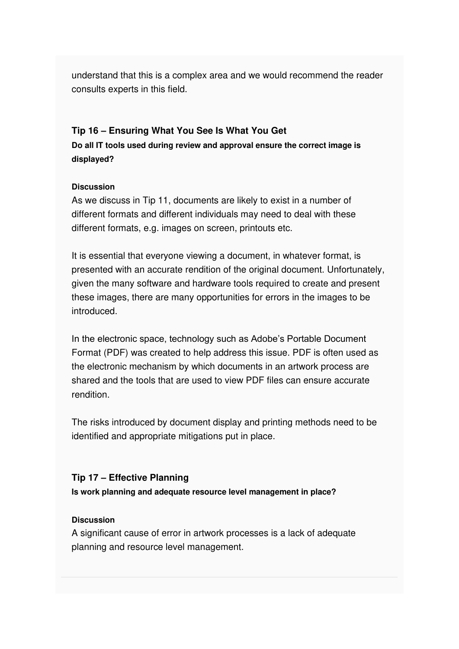understand that this is a complex area and we would recommend the reader consults experts in this field.

#### **Tip 16 – Ensuring What You See Is What You Get**

**Do all IT tools used during review and approval ensure the correct image is displayed?** 

#### **Discussion**

As we discuss in Tip 11, documents are likely to exist in a number of different formats and different individuals may need to deal with these different formats, e.g. images on screen, printouts etc.

It is essential that everyone viewing a document, in whatever format, is presented with an accurate rendition of the original document. Unfortunately, given the many software and hardware tools required to create and present these images, there are many opportunities for errors in the images to be introduced.

In the electronic space, technology such as Adobe's Portable Document Format (PDF) was created to help address this issue. PDF is often used as the electronic mechanism by which documents in an artwork process are shared and the tools that are used to view PDF files can ensure accurate rendition.

The risks introduced by document display and printing methods need to be identified and appropriate mitigations put in place.

#### **Tip 17 – Effective Planning**

**Is work planning and adequate resource level management in place?** 

#### **Discussion**

A significant cause of error in artwork processes is a lack of adequate planning and resource level management.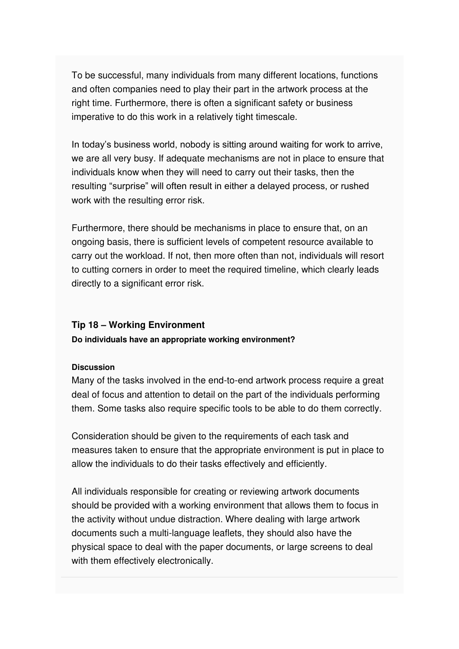To be successful, many individuals from many different locations, functions and often companies need to play their part in the artwork process at the right time. Furthermore, there is often a significant safety or business imperative to do this work in a relatively tight timescale.

In today's business world, nobody is sitting around waiting for work to arrive, we are all very busy. If adequate mechanisms are not in place to ensure that individuals know when they will need to carry out their tasks, then the resulting "surprise" will often result in either a delayed process, or rushed work with the resulting error risk.

Furthermore, there should be mechanisms in place to ensure that, on an ongoing basis, there is sufficient levels of competent resource available to carry out the workload. If not, then more often than not, individuals will resort to cutting corners in order to meet the required timeline, which clearly leads directly to a significant error risk.

#### **Tip 18 – Working Environment**

#### **Do individuals have an appropriate working environment?**

#### **Discussion**

Many of the tasks involved in the end-to-end artwork process require a great deal of focus and attention to detail on the part of the individuals performing them. Some tasks also require specific tools to be able to do them correctly.

Consideration should be given to the requirements of each task and measures taken to ensure that the appropriate environment is put in place to allow the individuals to do their tasks effectively and efficiently.

All individuals responsible for creating or reviewing artwork documents should be provided with a working environment that allows them to focus in the activity without undue distraction. Where dealing with large artwork documents such a multi-language leaflets, they should also have the physical space to deal with the paper documents, or large screens to deal with them effectively electronically.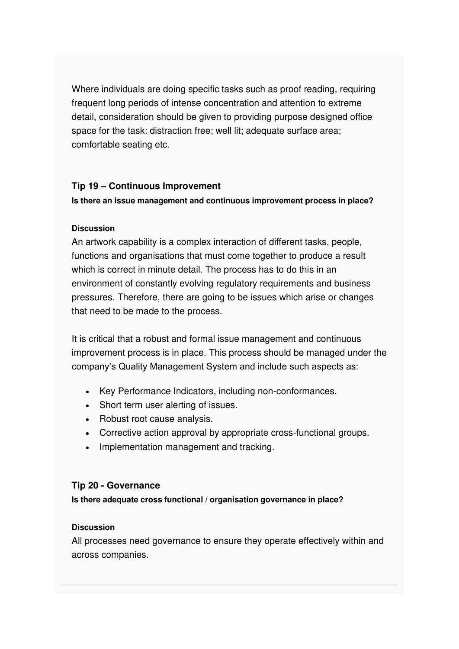Where individuals are doing specific tasks such as proof reading, requiring frequent long periods of intense concentration and attention to extreme detail, consideration should be given to providing purpose designed office space for the task: distraction free; well lit; adequate surface area; comfortable seating etc.

#### **Tip 19 – Continuous Improvement**

**Is there an issue management and continuous improvement process in place?** 

#### **Discussion**

An artwork capability is a complex interaction of different tasks, people, functions and organisations that must come together to produce a result which is correct in minute detail. The process has to do this in an environment of constantly evolving regulatory requirements and business pressures. Therefore, there are going to be issues which arise or changes that need to be made to the process.

It is critical that a robust and formal issue management and continuous improvement process is in place. This process should be managed under the company's Quality Management System and include such aspects as:

- Key Performance Indicators, including non-conformances.
- Short term user alerting of issues.
- Robust root cause analysis.
- Corrective action approval by appropriate cross-functional groups.
- Implementation management and tracking.

#### **Tip 20 - Governance**

**Is there adequate cross functional / organisation governance in place?** 

#### **Discussion**

All processes need governance to ensure they operate effectively within and across companies.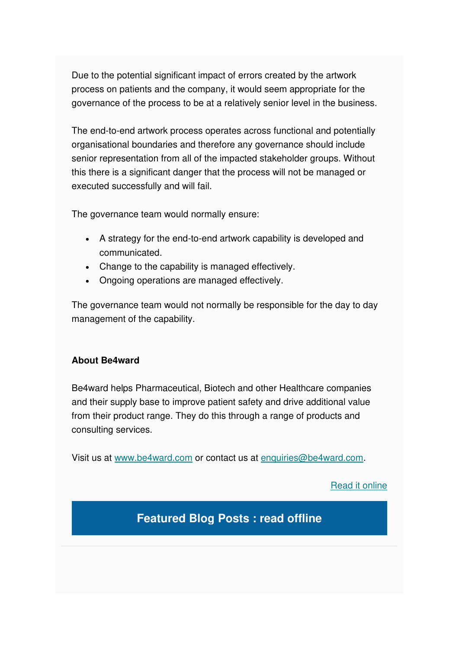Due to the potential significant impact of errors created by the artwork process on patients and the company, it would seem appropriate for the governance of the process to be at a relatively senior level in the business.

The end-to-end artwork process operates across functional and potentially organisational boundaries and therefore any governance should include senior representation from all of the impacted stakeholder groups. Without this there is a significant danger that the process will not be managed or executed successfully and will fail.

The governance team would normally ensure:

- A strategy for the end-to-end artwork capability is developed and communicated.
- Change to the capability is managed effectively.
- Ongoing operations are managed effectively.

The governance team would not normally be responsible for the day to day management of the capability.

#### **About Be4ward**

Be4ward helps Pharmaceutical, Biotech and other Healthcare companies and their supply base to improve patient safety and drive additional value from their product range. They do this through a range of products and consulting services.

Visit us at [www.be4ward.com](http://www.be4ward.com/) or contact us at [enquiries@be4ward.com.](mailto:enquiries@be4ward.com)

[Read it online](https://mcusercontent.com/e26c7f2af713739ac392fa0ba/files/441f6213-674d-49cb-8bd2-c5aea6ed7005/Top_20_Artwork_Auditor_Tips_Be4ward.pdf)

**Featured Blog Posts : read offline**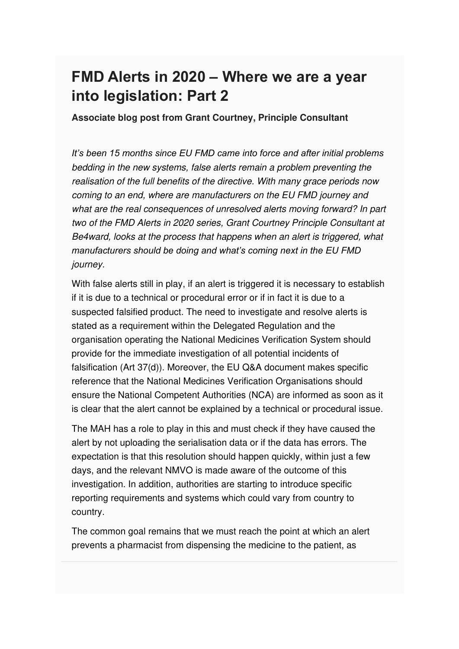### **FMD Alerts in 2020 – Where we are a year into legislation: Part 2**

**Associate blog post from Grant Courtney, Principle Consultant**

*It's been 15 months since EU FMD came into force and after initial problems*  bedding in the new systems, false alerts remain a problem preventing the realisation of the full benefits of the directive. With many grace periods now coming to an end, where are manufacturers on the EU FMD journey and what are the real consequences of unresolved alerts moving forward? In part two of the FMD Alerts in 2020 series, Grant Courtney Principle Consultant at Be4ward, looks at the process that happens when an alert is triggered, what *manufacturers should be doing and what's coming next in the EU FMD*  journey.

With false alerts still in play, if an alert is triggered it is necessary to establish if it is due to a technical or procedural error or if in fact it is due to a suspected falsified product. The need to investigate and resolve alerts is stated as a requirement within the Delegated Regulation and the organisation operating the National Medicines Verification System should provide for the immediate investigation of all potential incidents of falsification (Art 37(d)). Moreover, the EU Q&A document makes specific reference that the National Medicines Verification Organisations should ensure the National Competent Authorities (NCA) are informed as soon as it is clear that the alert cannot be explained by a technical or procedural issue.

The MAH has a role to play in this and must check if they have caused the alert by not uploading the serialisation data or if the data has errors. The expectation is that this resolution should happen quickly, within just a few days, and the relevant NMVO is made aware of the outcome of this investigation. In addition, authorities are starting to introduce specific reporting requirements and systems which could vary from country to country.

The common goal remains that we must reach the point at which an alert prevents a pharmacist from dispensing the medicine to the patient, as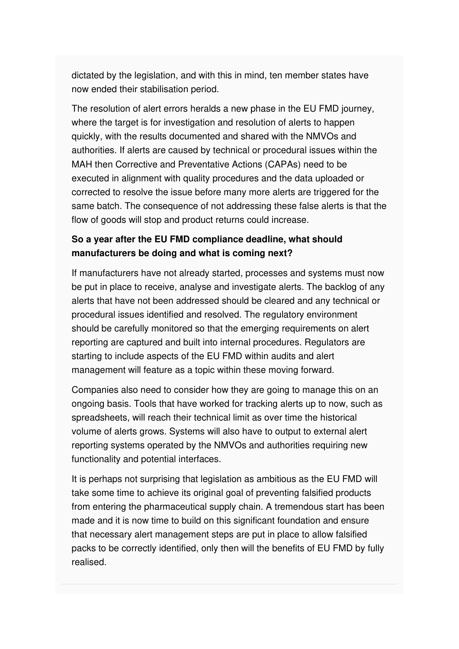dictated by the legislation, and with this in mind, ten member states have now ended their stabilisation period.

The resolution of alert errors heralds a new phase in the EU FMD journey, where the target is for investigation and resolution of alerts to happen quickly, with the results documented and shared with the NMVOs and authorities. If alerts are caused by technical or procedural issues within the MAH then Corrective and Preventative Actions (CAPAs) need to be executed in alignment with quality procedures and the data uploaded or corrected to resolve the issue before many more alerts are triggered for the same batch. The consequence of not addressing these false alerts is that the flow of goods will stop and product returns could increase.

#### **So a year after the EU FMD compliance deadline, what should manufacturers be doing and what is coming next?**

If manufacturers have not already started, processes and systems must now be put in place to receive, analyse and investigate alerts. The backlog of any alerts that have not been addressed should be cleared and any technical or procedural issues identified and resolved. The regulatory environment should be carefully monitored so that the emerging requirements on alert reporting are captured and built into internal procedures. Regulators are starting to include aspects of the EU FMD within audits and alert management will feature as a topic within these moving forward.

Companies also need to consider how they are going to manage this on an ongoing basis. Tools that have worked for tracking alerts up to now, such as spreadsheets, will reach their technical limit as over time the historical volume of alerts grows. Systems will also have to output to external alert reporting systems operated by the NMVOs and authorities requiring new functionality and potential interfaces.

It is perhaps not surprising that legislation as ambitious as the EU FMD will take some time to achieve its original goal of preventing falsified products from entering the pharmaceutical supply chain. A tremendous start has been made and it is now time to build on this significant foundation and ensure that necessary alert management steps are put in place to allow falsified packs to be correctly identified, only then will the benefits of EU FMD by fully realised.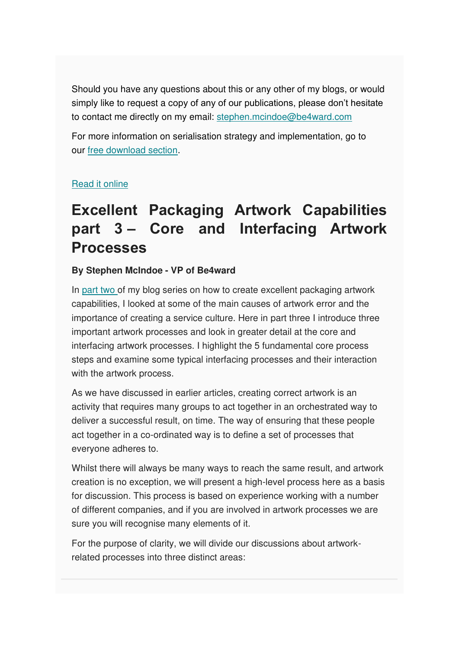Should you have any questions about this or any other of my blogs, or would simply like to request a copy of any of our publications, please don't hesitate to contact me directly on my email: [stephen.mcindoe@be4ward.com](mailto:stephen.mcindoe@be4ward.com)

For more information on serialisation strategy and implementation, go to our [free download section.](https://www.be4ward.com/our-experts-publishing3/)

#### [Read it online](https://www.be4ward.com/blogstephenmcindoe/2020/04/30/fmd-alerts-in-2020-where-we-are-a-year-into-legislation_2/)

### **Excellent Packaging Artwork Capabilities part 3 – Core and Interfacing Artwork Processes**

#### **By Stephen McIndoe - VP of Be4ward**

In [part two o](https://www.be4ward.com/blogstephenmcindoe/2020/02/28/excellent-packaging-artwork-capabilities-part-2-the-causes-of-artwork-error-and-the-importance-of-a-service-culture/)f my blog series on how to create excellent packaging artwork capabilities, I looked at some of the main causes of artwork error and the importance of creating a service culture. Here in part three I introduce three important artwork processes and look in greater detail at the core and interfacing artwork processes. I highlight the 5 fundamental core process steps and examine some typical interfacing processes and their interaction with the artwork process.

As we have discussed in earlier articles, creating correct artwork is an activity that requires many groups to act together in an orchestrated way to deliver a successful result, on time. The way of ensuring that these people act together in a co-ordinated way is to define a set of processes that everyone adheres to.

Whilst there will always be many ways to reach the same result, and artwork creation is no exception, we will present a high-level process here as a basis for discussion. This process is based on experience working with a number of different companies, and if you are involved in artwork processes we are sure you will recognise many elements of it.

For the purpose of clarity, we will divide our discussions about artworkrelated processes into three distinct areas: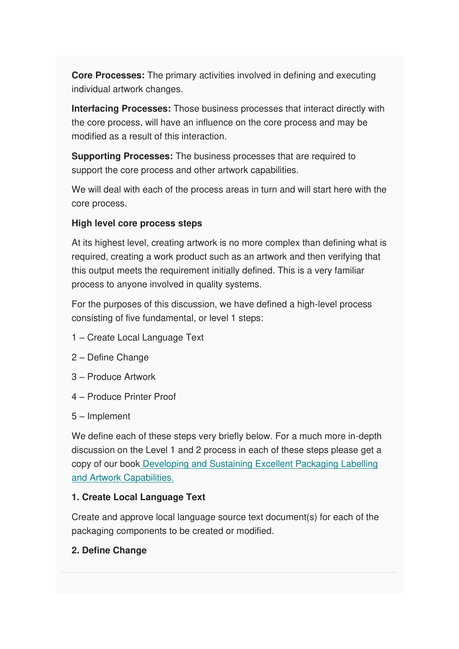**Core Processes:** The primary activities involved in defining and executing individual artwork changes.

**Interfacing Processes:** Those business processes that interact directly with the core process, will have an influence on the core process and may be modified as a result of this interaction.

**Supporting Processes:** The business processes that are required to support the core process and other artwork capabilities.

We will deal with each of the process areas in turn and will start here with the core process.

#### **High level core process steps**

At its highest level, creating artwork is no more complex than defining what is required, creating a work product such as an artwork and then verifying that this output meets the requirement initially defined. This is a very familiar process to anyone involved in quality systems.

For the purposes of this discussion, we have defined a high-level process consisting of five fundamental, or level 1 steps:

- 1 Create Local Language Text
- 2 Define Change
- 3 Produce Artwork
- 4 Produce Printer Proof
- 5 Implement

We define each of these steps very briefly below. For a much more in-depth discussion on the Level 1 and 2 process in each of these steps please get a copy of our boo[k Developing and Sustaining Excellent Packaging Labelling](https://www.amazon.co.uk/Developing-Sustaining-Excellent-Packaging-Capabilities/dp/1908746165)  [and Artwork Capabilities.](https://www.amazon.co.uk/Developing-Sustaining-Excellent-Packaging-Capabilities/dp/1908746165)

#### **1. Create Local Language Text**

Create and approve local language source text document(s) for each of the packaging components to be created or modified.

#### **2. Define Change**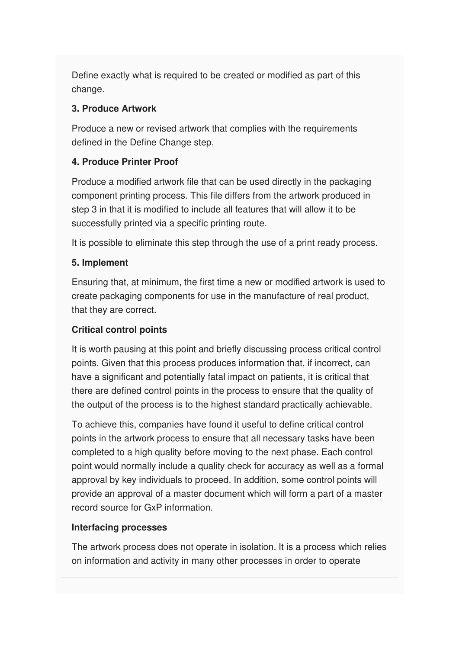Define exactly what is required to be created or modified as part of this change.

#### **3. Produce Artwork**

Produce a new or revised artwork that complies with the requirements defined in the Define Change step.

#### **4. Produce Printer Proof**

Produce a modified artwork file that can be used directly in the packaging component printing process. This file differs from the artwork produced in step 3 in that it is modified to include all features that will allow it to be successfully printed via a specific printing route.

It is possible to eliminate this step through the use of a print ready process.

#### **5. Implement**

Ensuring that, at minimum, the first time a new or modified artwork is used to create packaging components for use in the manufacture of real product, that they are correct.

#### **Critical control points**

It is worth pausing at this point and briefly discussing process critical control points. Given that this process produces information that, if incorrect, can have a significant and potentially fatal impact on patients, it is critical that there are defined control points in the process to ensure that the quality of the output of the process is to the highest standard practically achievable.

To achieve this, companies have found it useful to define critical control points in the artwork process to ensure that all necessary tasks have been completed to a high quality before moving to the next phase. Each control point would normally include a quality check for accuracy as well as a formal approval by key individuals to proceed. In addition, some control points will provide an approval of a master document which will form a part of a master record source for GxP information.

#### **Interfacing processes**

The artwork process does not operate in isolation. It is a process which relies on information and activity in many other processes in order to operate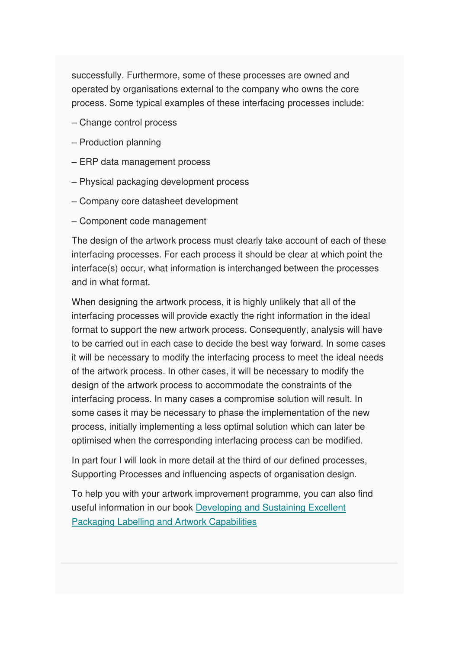successfully. Furthermore, some of these processes are owned and operated by organisations external to the company who owns the core process. Some typical examples of these interfacing processes include:

- Change control process
- Production planning
- ERP data management process
- Physical packaging development process
- Company core datasheet development
- Component code management

The design of the artwork process must clearly take account of each of these interfacing processes. For each process it should be clear at which point the interface(s) occur, what information is interchanged between the processes and in what format.

When designing the artwork process, it is highly unlikely that all of the interfacing processes will provide exactly the right information in the ideal format to support the new artwork process. Consequently, analysis will have to be carried out in each case to decide the best way forward. In some cases it will be necessary to modify the interfacing process to meet the ideal needs of the artwork process. In other cases, it will be necessary to modify the design of the artwork process to accommodate the constraints of the interfacing process. In many cases a compromise solution will result. In some cases it may be necessary to phase the implementation of the new process, initially implementing a less optimal solution which can later be optimised when the corresponding interfacing process can be modified.

In part four I will look in more detail at the third of our defined processes, Supporting Processes and influencing aspects of organisation design.

To help you with your artwork improvement programme, you can also find useful information in our book [Developing and Sustaining Excellent](https://www.amazon.co.uk/Developing-Sustaining-Excellent-Packaging-Capabilities-ebook/dp/B008GUX88C)  [Packaging Labelling and Artwork Capabilities](https://www.amazon.co.uk/Developing-Sustaining-Excellent-Packaging-Capabilities-ebook/dp/B008GUX88C)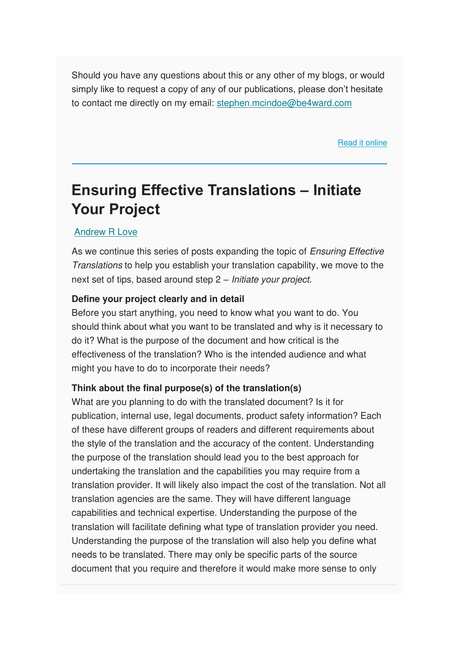Should you have any questions about this or any other of my blogs, or would simply like to request a copy of any of our publications, please don't hesitate to contact me directly on my email: [stephen.mcindoe@be4ward.com](mailto:stephen.mcindoe@be4ward.com)

[Read it online](https://www.be4ward.com/blogstephenmcindoe/2020/05/31/excellent-packaging-artwork-capabilities-part-3-core-and-interfacing-artwork-processes/)

### **Ensuring Effective Translations – Initiate Your Project**

#### [Andrew R Love](https://www.be4ward.com/blogandrewrlove/author/stefan/)

As we continue this series of posts expanding the topic of Ensuring Effective Translations to help you establish your translation capability, we move to the next set of tips, based around step 2 – Initiate your project.

#### **Define your project clearly and in detail**

Before you start anything, you need to know what you want to do. You should think about what you want to be translated and why is it necessary to do it? What is the purpose of the document and how critical is the effectiveness of the translation? Who is the intended audience and what might you have to do to incorporate their needs?

#### **Think about the final purpose(s) of the translation(s)**

What are you planning to do with the translated document? Is it for publication, internal use, legal documents, product safety information? Each of these have different groups of readers and different requirements about the style of the translation and the accuracy of the content. Understanding the purpose of the translation should lead you to the best approach for undertaking the translation and the capabilities you may require from a translation provider. It will likely also impact the cost of the translation. Not all translation agencies are the same. They will have different language capabilities and technical expertise. Understanding the purpose of the translation will facilitate defining what type of translation provider you need. Understanding the purpose of the translation will also help you define what needs to be translated. There may only be specific parts of the source document that you require and therefore it would make more sense to only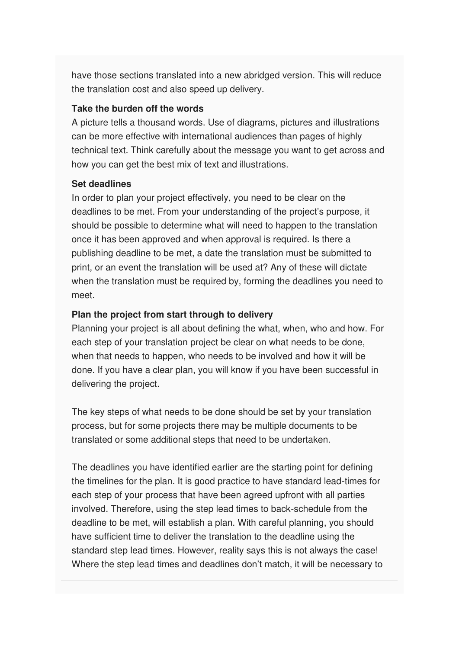have those sections translated into a new abridged version. This will reduce the translation cost and also speed up delivery.

#### **Take the burden off the words**

A picture tells a thousand words. Use of diagrams, pictures and illustrations can be more effective with international audiences than pages of highly technical text. Think carefully about the message you want to get across and how you can get the best mix of text and illustrations.

#### **Set deadlines**

In order to plan your project effectively, you need to be clear on the deadlines to be met. From your understanding of the project's purpose, it should be possible to determine what will need to happen to the translation once it has been approved and when approval is required. Is there a publishing deadline to be met, a date the translation must be submitted to print, or an event the translation will be used at? Any of these will dictate when the translation must be required by, forming the deadlines you need to meet.

#### **Plan the project from start through to delivery**

Planning your project is all about defining the what, when, who and how. For each step of your translation project be clear on what needs to be done, when that needs to happen, who needs to be involved and how it will be done. If you have a clear plan, you will know if you have been successful in delivering the project.

The key steps of what needs to be done should be set by your translation process, but for some projects there may be multiple documents to be translated or some additional steps that need to be undertaken.

The deadlines you have identified earlier are the starting point for defining the timelines for the plan. It is good practice to have standard lead-times for each step of your process that have been agreed upfront with all parties involved. Therefore, using the step lead times to back-schedule from the deadline to be met, will establish a plan. With careful planning, you should have sufficient time to deliver the translation to the deadline using the standard step lead times. However, reality says this is not always the case! Where the step lead times and deadlines don't match, it will be necessary to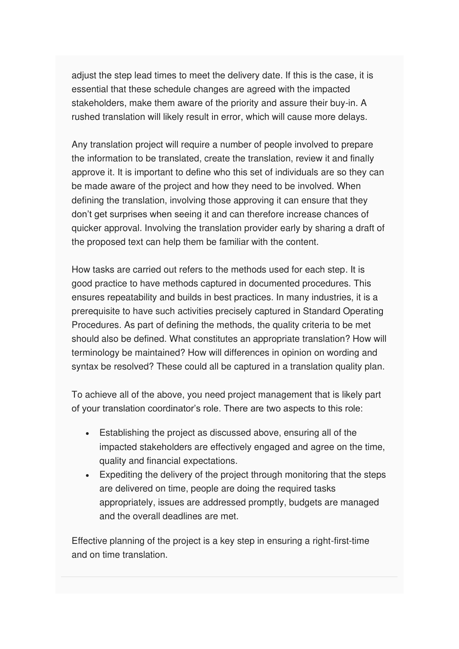adjust the step lead times to meet the delivery date. If this is the case, it is essential that these schedule changes are agreed with the impacted stakeholders, make them aware of the priority and assure their buy-in. A rushed translation will likely result in error, which will cause more delays.

Any translation project will require a number of people involved to prepare the information to be translated, create the translation, review it and finally approve it. It is important to define who this set of individuals are so they can be made aware of the project and how they need to be involved. When defining the translation, involving those approving it can ensure that they don't get surprises when seeing it and can therefore increase chances of quicker approval. Involving the translation provider early by sharing a draft of the proposed text can help them be familiar with the content.

How tasks are carried out refers to the methods used for each step. It is good practice to have methods captured in documented procedures. This ensures repeatability and builds in best practices. In many industries, it is a prerequisite to have such activities precisely captured in Standard Operating Procedures. As part of defining the methods, the quality criteria to be met should also be defined. What constitutes an appropriate translation? How will terminology be maintained? How will differences in opinion on wording and syntax be resolved? These could all be captured in a translation quality plan.

To achieve all of the above, you need project management that is likely part of your translation coordinator's role. There are two aspects to this role:

- Establishing the project as discussed above, ensuring all of the impacted stakeholders are effectively engaged and agree on the time, quality and financial expectations.
- Expediting the delivery of the project through monitoring that the steps are delivered on time, people are doing the required tasks appropriately, issues are addressed promptly, budgets are managed and the overall deadlines are met.

Effective planning of the project is a key step in ensuring a right-first-time and on time translation.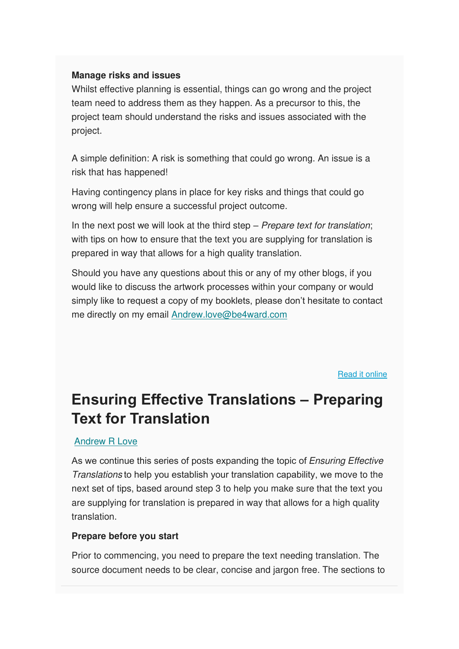#### **Manage risks and issues**

Whilst effective planning is essential, things can go wrong and the project team need to address them as they happen. As a precursor to this, the project team should understand the risks and issues associated with the project.

A simple definition: A risk is something that could go wrong. An issue is a risk that has happened!

Having contingency plans in place for key risks and things that could go wrong will help ensure a successful project outcome.

In the next post we will look at the third step  $-$  Prepare text for translation; with tips on how to ensure that the text you are supplying for translation is prepared in way that allows for a high quality translation.

Should you have any questions about this or any of my other blogs, if you would like to discuss the artwork processes within your company or would simply like to request a copy of my booklets, please don't hesitate to contact me directly on my email [Andrew.love@be4ward.com](mailto:Andrew.love@be4ward.com)

[Read it online](https://www.be4ward.com/blogandrewrlove/2020/04/30/ensuring-effective-translations-initiate-your-project-2/)

# **Ensuring Effective Translations – Preparing Text for Translation**

#### [Andrew R Love](https://www.be4ward.com/blogandrewrlove/author/stefan/)

As we continue this series of posts expanding the topic of *Ensuring Effective* Translations to help you establish your translation capability, we move to the next set of tips, based around step 3 to help you make sure that the text you are supplying for translation is prepared in way that allows for a high quality translation.

#### **Prepare before you start**

Prior to commencing, you need to prepare the text needing translation. The source document needs to be clear, concise and jargon free. The sections to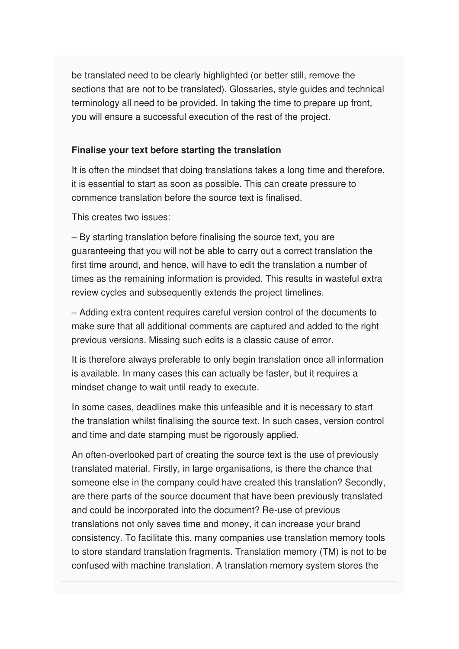be translated need to be clearly highlighted (or better still, remove the sections that are not to be translated). Glossaries, style guides and technical terminology all need to be provided. In taking the time to prepare up front, you will ensure a successful execution of the rest of the project.

#### **Finalise your text before starting the translation**

It is often the mindset that doing translations takes a long time and therefore, it is essential to start as soon as possible. This can create pressure to commence translation before the source text is finalised.

This creates two issues:

– By starting translation before finalising the source text, you are guaranteeing that you will not be able to carry out a correct translation the first time around, and hence, will have to edit the translation a number of times as the remaining information is provided. This results in wasteful extra review cycles and subsequently extends the project timelines.

– Adding extra content requires careful version control of the documents to make sure that all additional comments are captured and added to the right previous versions. Missing such edits is a classic cause of error.

It is therefore always preferable to only begin translation once all information is available. In many cases this can actually be faster, but it requires a mindset change to wait until ready to execute.

In some cases, deadlines make this unfeasible and it is necessary to start the translation whilst finalising the source text. In such cases, version control and time and date stamping must be rigorously applied.

An often-overlooked part of creating the source text is the use of previously translated material. Firstly, in large organisations, is there the chance that someone else in the company could have created this translation? Secondly, are there parts of the source document that have been previously translated and could be incorporated into the document? Re-use of previous translations not only saves time and money, it can increase your brand consistency. To facilitate this, many companies use translation memory tools to store standard translation fragments. Translation memory (TM) is not to be confused with machine translation. A translation memory system stores the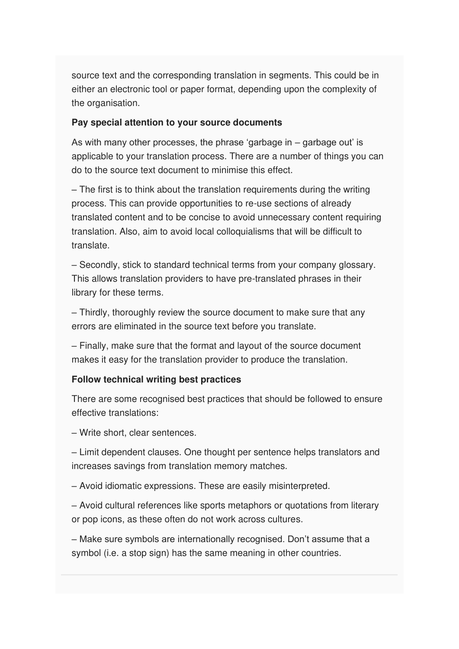source text and the corresponding translation in segments. This could be in either an electronic tool or paper format, depending upon the complexity of the organisation.

#### **Pay special attention to your source documents**

As with many other processes, the phrase 'garbage in – garbage out' is applicable to your translation process. There are a number of things you can do to the source text document to minimise this effect.

– The first is to think about the translation requirements during the writing process. This can provide opportunities to re-use sections of already translated content and to be concise to avoid unnecessary content requiring translation. Also, aim to avoid local colloquialisms that will be difficult to translate.

– Secondly, stick to standard technical terms from your company glossary. This allows translation providers to have pre-translated phrases in their library for these terms.

– Thirdly, thoroughly review the source document to make sure that any errors are eliminated in the source text before you translate.

– Finally, make sure that the format and layout of the source document makes it easy for the translation provider to produce the translation.

#### **Follow technical writing best practices**

There are some recognised best practices that should be followed to ensure effective translations:

– Write short, clear sentences.

– Limit dependent clauses. One thought per sentence helps translators and increases savings from translation memory matches.

– Avoid idiomatic expressions. These are easily misinterpreted.

– Avoid cultural references like sports metaphors or quotations from literary or pop icons, as these often do not work across cultures.

– Make sure symbols are internationally recognised. Don't assume that a symbol (i.e. a stop sign) has the same meaning in other countries.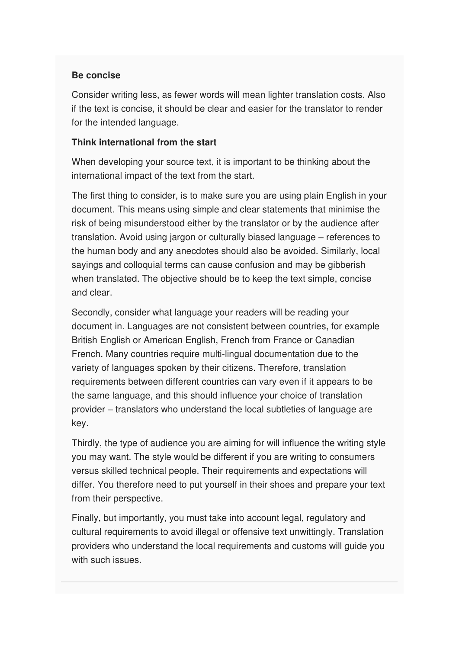#### **Be concise**

Consider writing less, as fewer words will mean lighter translation costs. Also if the text is concise, it should be clear and easier for the translator to render for the intended language.

#### **Think international from the start**

When developing your source text, it is important to be thinking about the international impact of the text from the start.

The first thing to consider, is to make sure you are using plain English in your document. This means using simple and clear statements that minimise the risk of being misunderstood either by the translator or by the audience after translation. Avoid using jargon or culturally biased language – references to the human body and any anecdotes should also be avoided. Similarly, local sayings and colloquial terms can cause confusion and may be gibberish when translated. The objective should be to keep the text simple, concise and clear.

Secondly, consider what language your readers will be reading your document in. Languages are not consistent between countries, for example British English or American English, French from France or Canadian French. Many countries require multi-lingual documentation due to the variety of languages spoken by their citizens. Therefore, translation requirements between different countries can vary even if it appears to be the same language, and this should influence your choice of translation provider – translators who understand the local subtleties of language are key.

Thirdly, the type of audience you are aiming for will influence the writing style you may want. The style would be different if you are writing to consumers versus skilled technical people. Their requirements and expectations will differ. You therefore need to put yourself in their shoes and prepare your text from their perspective.

Finally, but importantly, you must take into account legal, regulatory and cultural requirements to avoid illegal or offensive text unwittingly. Translation providers who understand the local requirements and customs will guide you with such issues.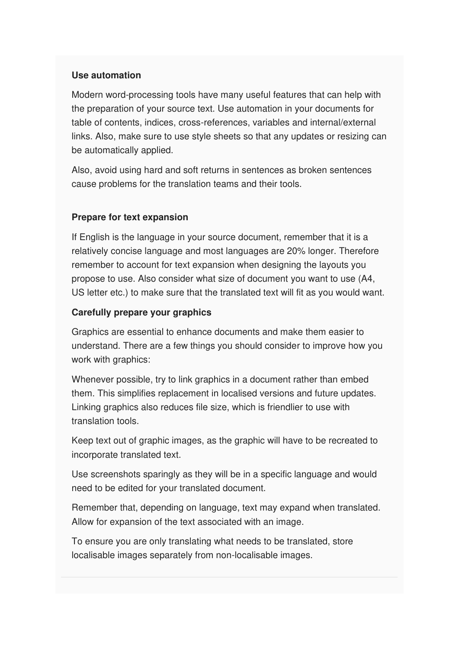#### **Use automation**

Modern word-processing tools have many useful features that can help with the preparation of your source text. Use automation in your documents for table of contents, indices, cross-references, variables and internal/external links. Also, make sure to use style sheets so that any updates or resizing can be automatically applied.

Also, avoid using hard and soft returns in sentences as broken sentences cause problems for the translation teams and their tools.

#### **Prepare for text expansion**

If English is the language in your source document, remember that it is a relatively concise language and most languages are 20% longer. Therefore remember to account for text expansion when designing the layouts you propose to use. Also consider what size of document you want to use (A4, US letter etc.) to make sure that the translated text will fit as you would want.

#### **Carefully prepare your graphics**

Graphics are essential to enhance documents and make them easier to understand. There are a few things you should consider to improve how you work with graphics:

Whenever possible, try to link graphics in a document rather than embed them. This simplifies replacement in localised versions and future updates. Linking graphics also reduces file size, which is friendlier to use with translation tools.

Keep text out of graphic images, as the graphic will have to be recreated to incorporate translated text.

Use screenshots sparingly as they will be in a specific language and would need to be edited for your translated document.

Remember that, depending on language, text may expand when translated. Allow for expansion of the text associated with an image.

To ensure you are only translating what needs to be translated, store localisable images separately from non-localisable images.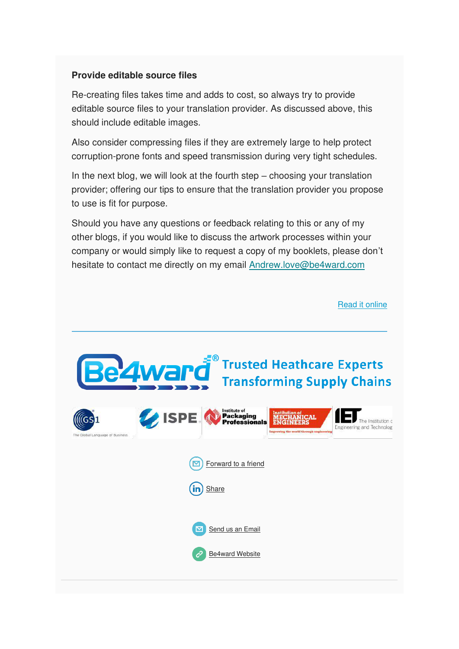#### **Provide editable source files**

Re-creating files takes time and adds to cost, so always try to provide editable source files to your translation provider. As discussed above, this should include editable images.

Also consider compressing files if they are extremely large to help protect corruption-prone fonts and speed transmission during very tight schedules.

In the next blog, we will look at the fourth step – choosing your translation provider; offering our tips to ensure that the translation provider you propose to use is fit for purpose.

Should you have any questions or feedback relating to this or any of my other blogs, if you would like to discuss the artwork processes within your company or would simply like to request a copy of my booklets, please don't hesitate to contact me directly on my email [Andrew.love@be4ward.com](mailto:Andrew.love@be4ward.com)

[Read it online](https://www.be4ward.com/blogandrewrlove/2020/05/31/ensuring-effective-translations-preparing-text-for-translation/)